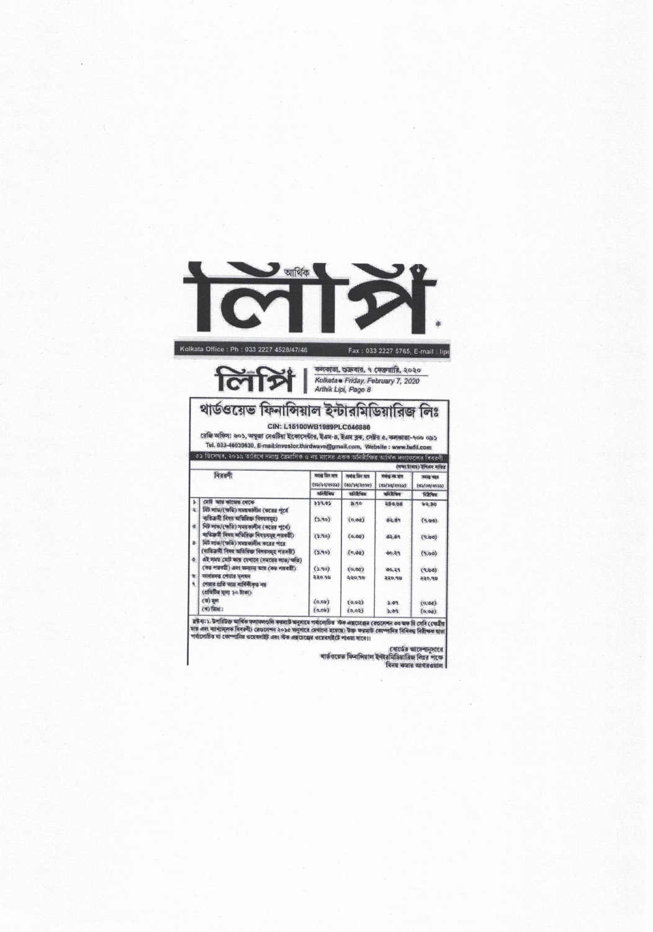

Kolkata Office: Ph: 033 2227 4528/47/48

Fax: 033 2227 5765, E-mail: lipi



 $\sum_{\text{Arthick} } \left| \begin{array}{c} \text{arcc} \\ \text{Roketa & \text{Friday, February 7, 2020} \\ \text{Arthik Lipi, Page 8} \end{array} \right|$ কলকাতা, শুক্ৰবার, ৭ ফেব্রুয়ারি, ২০২০

## থাৰ্ডওয়েভ ফিনান্সিয়াল ইন্টারমিডিয়ারিজ লিঃ

CIN: L15100WB1989PLC046886

বেজি অফিস: ৬০১, অপুজা নেওটিয়া ইকোপেটার, ইএম-৪, ইএম ব্লক, সেষ্টর ৫, কলকাতা-৭০০ ০৯১ Tel. 033-46039830, E-mail:investor.thirdwave@gmail.com, Website: www.twfil.com<br>Tel. 033-46039830, E-mail:investor.thirdwave@gmail.com, Website: www.twfil.com<br>৩১ ডিসেম্বৰ, ২০১১ তাৰিখে সমাপ্ত তৈমাসিক ও নয় মাসের একক অনিরীক্

| গৈক্ষা টাকাছ) ইপিএস ব্যক্তিত |                                               |                                            |                                             |                                               |                                                    |  |  |  |
|------------------------------|-----------------------------------------------|--------------------------------------------|---------------------------------------------|-----------------------------------------------|----------------------------------------------------|--|--|--|
| विवृत्तकी                    |                                               | अपांख फिर आत्र<br>(05)30/2058)<br>sfalling | मजाबु किन पात्र<br>(01/20/2020)<br>tankfung | जमोश्री नेता जान<br>(6)/38/40533<br>कारितिबिल | <b>PROBE TODAY</b><br>(05/00/4653)<br><b>Narws</b> |  |  |  |
| Ś.                           | সোট আয় কাজের মেকে                            | 559.05                                     | 390                                         | 280.08                                        | b4.85                                              |  |  |  |
| 燮                            | নিট লাভ/(ক্ষতি) সময়কালীন (করের পূর্বে        |                                            |                                             |                                               |                                                    |  |  |  |
|                              | ৰাতিক্ৰমী বিষয় অতিৰিক্ত বিষয়সমূহ)           | (2.90)                                     | (0, 04)                                     | 82.89                                         | (9.90)                                             |  |  |  |
| ä                            | নিট লাভ/(স্ফতি) সময়কালীন (করের পূর্বে)       |                                            |                                             |                                               |                                                    |  |  |  |
|                              | माजिकमी नियम व्यक्तिक विषयममृष्ट भन्नबकी)     | (5.90)                                     | (a, ba)                                     | 62.89                                         | (9.80)                                             |  |  |  |
| g                            | নিট লাভ/(স্ফতি) সময়কালীন করের পরে            |                                            |                                             |                                               |                                                    |  |  |  |
|                              | (ব্যক্তিক্ৰমী বিষয় অতিৰিক্ত বিষয়সমূহ পৱৰতী) | (5.90)                                     | (n, 6a)                                     | 80.59                                         | (9.90)                                             |  |  |  |
| $\alpha$                     | এই সময় মোট আয় যেখানে (সময়ের লাভ/অতি)       |                                            |                                             |                                               |                                                    |  |  |  |
|                              | (का भाषारी) अगर अन्ताना आंग (का भगवडी)        | (5.90)                                     | (0, 00)                                     | 00.29                                         | (9.65)                                             |  |  |  |
| U.                           | व्यामासमञ्जू टर्मग्राम भूमामम                 | 220,96                                     | 88.055                                      | 220.98                                        | 440,98                                             |  |  |  |
| ۹                            | শেষার প্রতি আর বার্ষিকীকত নয়                 |                                            |                                             |                                               |                                                    |  |  |  |
|                              | (প্ৰতিটিত্ত মূল্য ১০ টাকা)                    |                                            |                                             |                                               |                                                    |  |  |  |
|                              | $(4)$ and                                     | (0,0)                                      | (0.02)                                      | 2.04                                          | (0.04)                                             |  |  |  |
|                              | $(4)$ मिल:                                    | (0,0b)                                     | (0,02)                                      | 2.09                                          | (0, 00)                                            |  |  |  |

স্তম্ভব্য:১. উপৰিউক্ত আৰ্থিক স্বলামন্সতলি সক্ষমটে অনুসৰে পৰ্যালোচিত সঁচক এক্সচেৱেন ব্ৰেণ্ডলেশন ৩০ অফ মি সেবি (সেত্ৰীয়<br>নায় এবং ৰাখ্যমন্সক বিৰৱণী) ৱেণ্ডলেশন ২০১৫ অনুসৰে দেখালো হয়েছে। উক্ত স্বত্তনাট কোম্পানির বিধিবদ্ধ নি

নোর্ডের আদেশানুসারে<br>শার্ডওয়েত ফিনাপিয়াল ইন্টারমিডিয়ারিজ লিয়ে পকে

विनय कमास खाशनख्याल